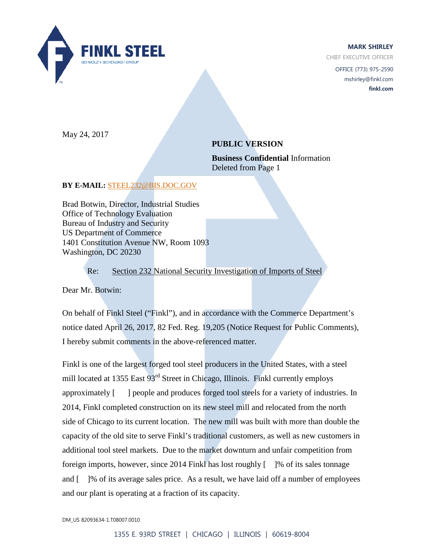

**MARK SHIRLEY**

CHIEF EXECUTIVE OFFICER

OFFICE (773) 975-2590 mshirley@finkl.com **finkl.com**

May 24, 2017

# **PUBLIC VERSION**

**Business Confidential** Information Deleted from Page 1

## **BY E-MAIL:** [STEEL232@BIS.DOC.GOV](mailto:Steel232@bis.doc.gov)

Brad Botwin, Director, Industrial Studies Office of Technology Evaluation Bureau of Industry and Security US Department of Commerce 1401 Constitution Avenue NW, Room 1093 Washington, DC 20230

Re: Section 232 National Security Investigation of Imports of Steel

Dear Mr. Botwin:

On behalf of Finkl Steel ("Finkl"), and in accordance with the Commerce Department's notice dated April 26, 2017, 82 Fed. Reg. 19,205 (Notice Request for Public Comments), I hereby submit comments in the above-referenced matter.

Finkl is one of the largest forged tool steel producers in the United States, with a steel mill located at 1355 East 93<sup>rd</sup> Street in Chicago, Illinois. Finkl currently employs approximately [ ] people and produces forged tool steels for a variety of industries. In 2014, Finkl completed construction on its new steel mill and relocated from the north side of Chicago to its current location. The new mill was built with more than double the capacity of the old site to serve Finkl's traditional customers, as well as new customers in additional tool steel markets. Due to the market downturn and unfair competition from foreign imports, however, since 2014 Finkl has lost roughly  $\lceil \cdot \rceil$ % of its sales tonnage and [ ]% of its average sales price. As a result, we have laid off a number of employees and our plant is operating at a fraction of its capacity.

DM\_US 82093634-1.T08007.0010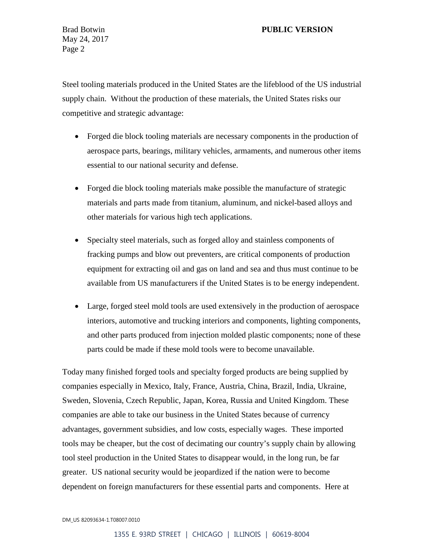## Brad Botwin **PUBLIC VERSION**

May 24, 2017 Page 2

Steel tooling materials produced in the United States are the lifeblood of the US industrial supply chain. Without the production of these materials, the United States risks our competitive and strategic advantage:

- Forged die block tooling materials are necessary components in the production of aerospace parts, bearings, military vehicles, armaments, and numerous other items essential to our national security and defense.
- Forged die block tooling materials make possible the manufacture of strategic materials and parts made from titanium, aluminum, and nickel-based alloys and other materials for various high tech applications.
- Specialty steel materials, such as forged alloy and stainless components of fracking pumps and blow out preventers, are critical components of production equipment for extracting oil and gas on land and sea and thus must continue to be available from US manufacturers if the United States is to be energy independent.
- Large, forged steel mold tools are used extensively in the production of aerospace interiors, automotive and trucking interiors and components, lighting components, and other parts produced from injection molded plastic components; none of these parts could be made if these mold tools were to become unavailable.

Today many finished forged tools and specialty forged products are being supplied by companies especially in Mexico, Italy, France, Austria, China, Brazil, India, Ukraine, Sweden, Slovenia, Czech Republic, Japan, Korea, Russia and United Kingdom. These companies are able to take our business in the United States because of currency advantages, government subsidies, and low costs, especially wages. These imported tools may be cheaper, but the cost of decimating our country's supply chain by allowing tool steel production in the United States to disappear would, in the long run, be far greater. US national security would be jeopardized if the nation were to become dependent on foreign manufacturers for these essential parts and components. Here at

#### DM\_US 82093634-1.T08007.0010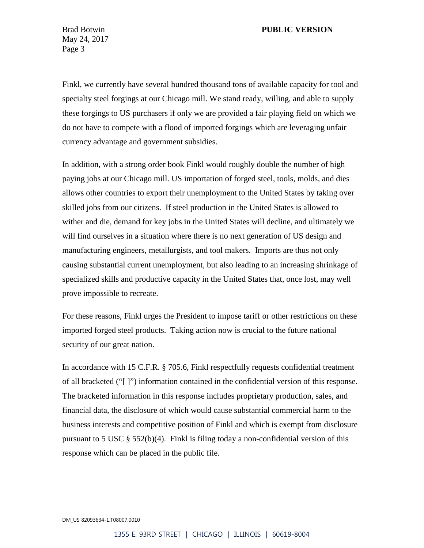### Brad Botwin **PUBLIC VERSION**

May 24, 2017 Page 3

Finkl, we currently have several hundred thousand tons of available capacity for tool and specialty steel forgings at our Chicago mill. We stand ready, willing, and able to supply these forgings to US purchasers if only we are provided a fair playing field on which we do not have to compete with a flood of imported forgings which are leveraging unfair currency advantage and government subsidies.

In addition, with a strong order book Finkl would roughly double the number of high paying jobs at our Chicago mill. US importation of forged steel, tools, molds, and dies allows other countries to export their unemployment to the United States by taking over skilled jobs from our citizens. If steel production in the United States is allowed to wither and die, demand for key jobs in the United States will decline, and ultimately we will find ourselves in a situation where there is no next generation of US design and manufacturing engineers, metallurgists, and tool makers. Imports are thus not only causing substantial current unemployment, but also leading to an increasing shrinkage of specialized skills and productive capacity in the United States that, once lost, may well prove impossible to recreate.

For these reasons, Finkl urges the President to impose tariff or other restrictions on these imported forged steel products. Taking action now is crucial to the future national security of our great nation.

In accordance with 15 C.F.R. § 705.6, Finkl respectfully requests confidential treatment of all bracketed ("[ ]") information contained in the confidential version of this response. The bracketed information in this response includes proprietary production, sales, and financial data, the disclosure of which would cause substantial commercial harm to the business interests and competitive position of Finkl and which is exempt from disclosure pursuant to 5 USC § 552(b)(4). Finkl is filing today a non-confidential version of this response which can be placed in the public file.

DM\_US 82093634-1.T08007.0010